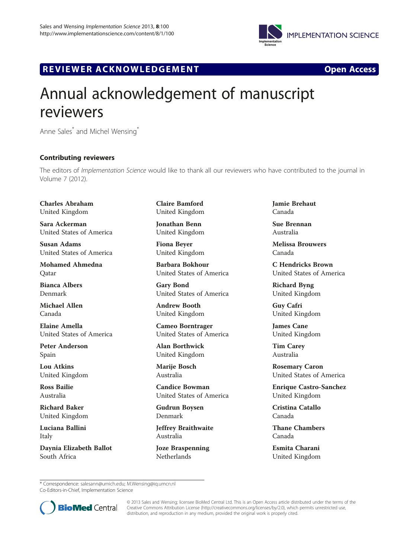

## R EVI EW E R ACKNOW L EDG EM EN T Open Access



## Annual acknowledgement of manuscript reviewers

Anne Sales\* and Michel Wensing\*

## Contributing reviewers

The editors of *Implementation Science would like to thank all our reviewers who have contributed to the journal in* Volume 7 (2012).

Charles Abraham United Kingdom

Sara Ackerman United States of America

Susan Adams United States of America

Mohamed Ahmedna Qatar

Bianca Albers Denmark

Michael Allen Canada

Elaine Amella United States of America

Peter Anderson Spain

Lou Atkins United Kingdom

Ross Bailie Australia

Richard Baker United Kingdom

Luciana Ballini Italy

Daynia Elizabeth Ballot South Africa

Claire Bamford United Kingdom

Jonathan Benn United Kingdom

Fiona Beyer United Kingdom

Barbara Bokhour United States of America

Gary Bond United States of America

Andrew Booth United Kingdom

Cameo Borntrager United States of America

Alan Borthwick United Kingdom

Marije Bosch Australia

Candice Bowman United States of America

Gudrun Boysen Denmark

Jeffrey Braithwaite Australia

Joze Braspenning Netherlands

Jamie Brehaut Canada

Sue Brennan Australia

Melissa Brouwers Canada

C Hendricks Brown United States of America

Richard Byng United Kingdom

Guy Cafri United Kingdom

James Cane United Kingdom

Tim Carey Australia

Rosemary Caron United States of America

Enrique Castro-Sanchez United Kingdom

Cristina Catallo Canada

Thane Chambers Canada

Esmita Charani United Kingdom

\* Correspondence: [salesann@umich.edu;](mailto:salesann@umich.edu) [M.Wensing@iq.umcn.nl](mailto:M.Wensing@iq.umcn.nl)

Co-Editors-in-Chief, Implementation Science



© 2013 Sales and Wensing; licensee BioMed Central Ltd. This is an Open Access article distributed under the terms of the Creative Commons Attribution License (<http://creativecommons.org/licenses/by/2.0>), which permits unrestricted use, distribution, and reproduction in any medium, provided the original work is properly cited.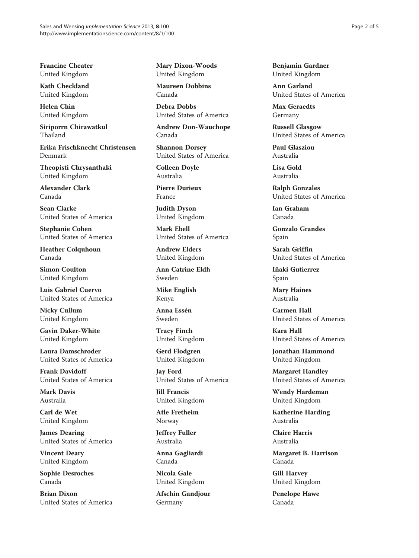Francine Cheater United Kingdom

Kath Checkland United Kingdom

Helen Chin United Kingdom

Siriporrn Chirawatkul Thailand

Erika Frischknecht Christensen Denmark

Theopisti Chrysanthaki United Kingdom

Alexander Clark Canada

Sean Clarke United States of America

Stephanie Cohen United States of America

Heather Colquhoun Canada

Simon Coulton United Kingdom

Luis Gabriel Cuervo United States of America

Nicky Cullum United Kingdom

Gavin Daker-White United Kingdom

Laura Damschroder United States of America

Frank Davidoff United States of America

Mark Davis Australia

Carl de Wet United Kingdom

James Dearing United States of America

Vincent Deary United Kingdom

Sophie Desroches Canada

Brian Dixon United States of America Mary Dixon-Woods United Kingdom

Maureen Dobbins Canada

Debra Dobbs United States of America

Andrew Don-Wauchope Canada

Shannon Dorsey United States of America

Colleen Doyle Australia

Pierre Durieux France

Judith Dyson United Kingdom

Mark Ebell United States of America

Andrew Elders United Kingdom

Ann Catrine Eldh Sweden

Mike English Kenya

Anna Essén Sweden

Tracy Finch United Kingdom

Gerd Flodgren United Kingdom

Jay Ford United States of America

Jill Francis United Kingdom

Atle Fretheim Norway

Jeffrey Fuller Australia

Anna Gagliardi Canada

Nicola Gale United Kingdom

Afschin Gandjour Germany

Benjamin Gardner United Kingdom

Ann Garland United States of America

Max Geraedts Germany

Russell Glasgow United States of America

Paul Glasziou Australia

Lisa Gold Australia

Ralph Gonzales United States of America

Ian Graham Canada

Gonzalo Grandes Spain

Sarah Griffin United States of America

Iñaki Gutierrez Spain

Mary Haines Australia

Carmen Hall United States of America

Kara Hall United States of America

Jonathan Hammond United Kingdom

Margaret Handley United States of America

Wendy Hardeman United Kingdom

Katherine Harding Australia

Claire Harris Australia

Margaret B. Harrison Canada

Gill Harvey United Kingdom

Penelope Hawe Canada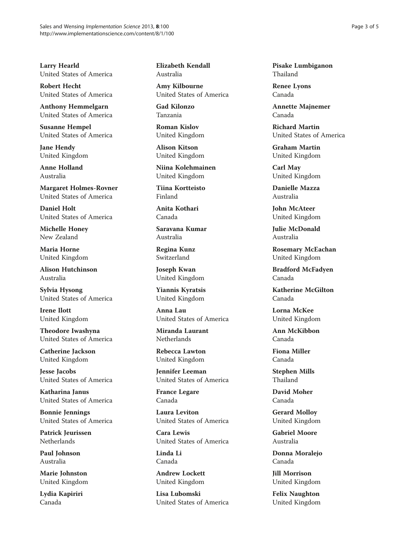Larry Hearld United States of America

Robert Hecht United States of America

Anthony Hemmelgarn United States of America

Susanne Hempel United States of America

Jane Hendy United Kingdom

Anne Holland Australia

Margaret Holmes-Rovner United States of America

Daniel Holt United States of America

Michelle Honey New Zealand

Maria Horne United Kingdom

Alison Hutchinson Australia

Sylvia Hysong United States of America

Irene Ilott United Kingdom

Theodore Iwashyna United States of America

Catherine Jackson United Kingdom

Jesse Jacobs United States of America

Katharina Janus United States of America

Bonnie Jennings United States of America

Patrick Jeurissen **Netherlands** 

Paul Johnson Australia

Marie Johnston United Kingdom

Lydia Kapiriri Canada

Elizabeth Kendall Australia

Amy Kilbourne United States of America

Gad Kilonzo Tanzania

Roman Kislov United Kingdom

Alison Kitson United Kingdom

Niina Kolehmainen United Kingdom

Tiina Kortteisto Finland

Anita Kothari Canada

Saravana Kumar Australia

Regina Kunz Switzerland

Joseph Kwan United Kingdom

Yiannis Kyratsis United Kingdom

Anna Lau United States of America

Miranda Laurant **Netherlands** 

Rebecca Lawton United Kingdom

Jennifer Leeman United States of America

France Legare Canada

Laura Leviton United States of America

Cara Lewis United States of America

Linda Li Canada

Andrew Lockett United Kingdom

Lisa Lubomski United States of America Pisake Lumbiganon Thailand

Renee Lyons Canada

Annette Majnemer Canada

Richard Martin United States of America

Graham Martin United Kingdom

Carl May United Kingdom

Danielle Mazza Australia

John McAteer United Kingdom

Julie McDonald Australia

Rosemary McEachan United Kingdom

Bradford McFadyen Canada

Katherine McGilton Canada

Lorna McKee United Kingdom

Ann McKibbon Canada

Fiona Miller Canada

Stephen Mills Thailand

David Moher Canada

Gerard Molloy United Kingdom

Gabriel Moore Australia

Donna Moralejo Canada

Jill Morrison United Kingdom

Felix Naughton United Kingdom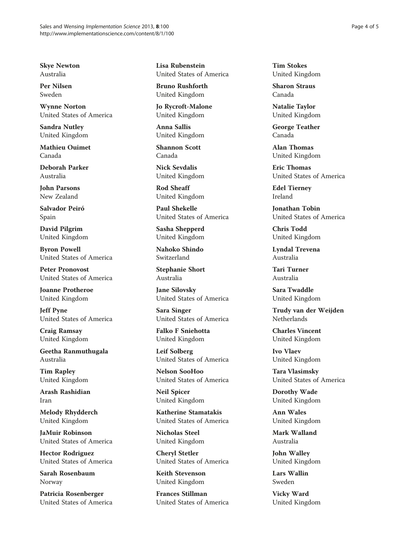Skye Newton Australia

Per Nilsen Sweden

Wynne Norton United States of America

Sandra Nutley United Kingdom

Mathieu Ouimet Canada

Deborah Parker Australia

John Parsons New Zealand

Salvador Peiró Spain

David Pilgrim United Kingdom

Byron Powell United States of America

Peter Pronovost United States of America

Joanne Protheroe United Kingdom

Jeff Pyne United States of America

Craig Ramsay United Kingdom

Geetha Ranmuthugala Australia

Tim Rapley United Kingdom

Arash Rashidian Iran

Melody Rhydderch United Kingdom

JaMuir Robinson United States of America

Hector Rodriguez United States of America

Sarah Rosenbaum Norway

Patricia Rosenberger United States of America Lisa Rubenstein United States of America

Bruno Rushforth United Kingdom

Jo Rycroft-Malone United Kingdom

Anna Sallis United Kingdom

Shannon Scott Canada

Nick Sevdalis United Kingdom

Rod Sheaff United Kingdom

Paul Shekelle United States of America

Sasha Shepperd United Kingdom

Nahoko Shindo Switzerland

Stephanie Short Australia

Jane Silovsky United States of America

Sara Singer United States of America

Falko F Sniehotta United Kingdom

Leif Solberg United States of America

Nelson SooHoo United States of America

Neil Spicer United Kingdom

Katherine Stamatakis United States of America

Nicholas Steel United Kingdom

Cheryl Stetler United States of America

Keith Stevenson United Kingdom

Frances Stillman United States of America

Tim Stokes United Kingdom

Sharon Straus Canada

Natalie Taylor United Kingdom

George Teather Canada

Alan Thomas United Kingdom

Eric Thomas United States of America

Edel Tierney Ireland

Jonathan Tobin United States of America

Chris Todd United Kingdom

Lyndal Trevena Australia

Tari Turner Australia

Sara Twaddle United Kingdom

Trudy van der Weijden Netherlands

Charles Vincent United Kingdom

Ivo Vlaev United Kingdom

Tara Vlasimsky United States of America

Dorothy Wade United Kingdom

Ann Wales United Kingdom

Mark Walland Australia

John Walley United Kingdom

Lars Wallin Sweden

Vicky Ward United Kingdom